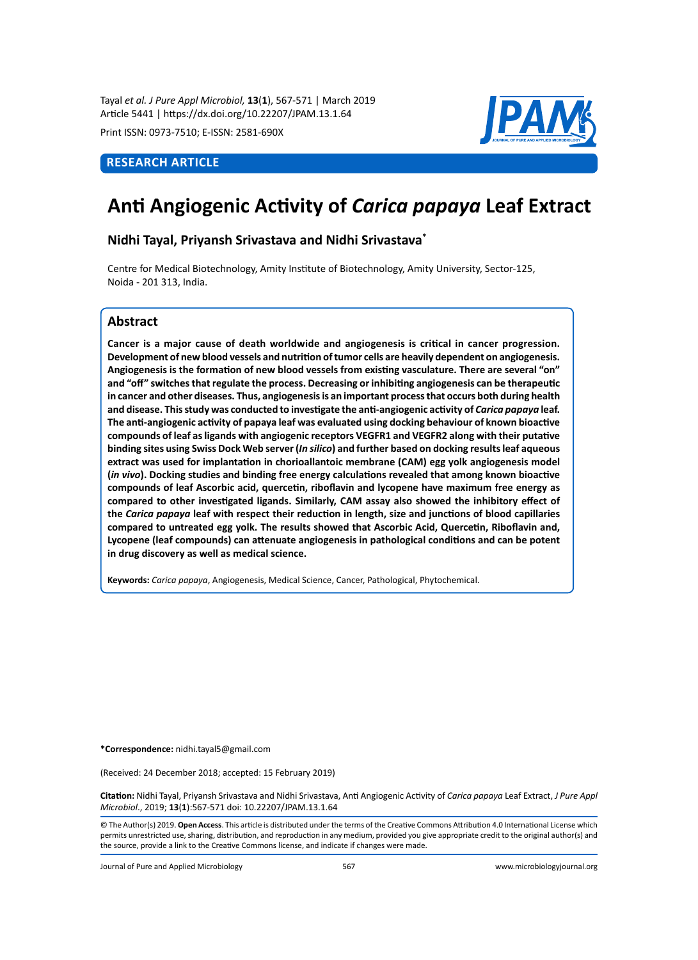Tayal *et al. J Pure Appl Microbiol,* **13**(**1**), 567-571 | March 2019 Article 5441 | https://dx.doi.org/10.22207/JPAM.13.1.64

Print ISSN: 0973-7510; E-ISSN: 2581-690X

## **ReSEARCH Article**



# **Anti Angiogenic Activity of** *Carica papaya* **Leaf Extract**

**Nidhi Tayal, Priyansh Srivastava and Nidhi Srivastava\***

Centre for Medical Biotechnology, Amity Institute of Biotechnology, Amity University, Sector-125, Noida - 201 313, India.

## **Abstract**

**Cancer is a major cause of death worldwide and angiogenesis is critical in cancer progression. Development of new blood vessels and nutrition of tumor cells are heavily dependent on angiogenesis. Angiogenesis is the formation of new blood vessels from existing vasculature. There are several "on" and "off" switches that regulate the process. Decreasing or inhibiting angiogenesis can be therapeutic in cancer and other diseases. Thus, angiogenesis is an important process that occurs both during health and disease. This study was conducted to investigate the anti-angiogenic activity of** *Carica papaya* **leaf. The anti-angiogenic activity of papaya leaf was evaluated using docking behaviour of known bioactive compounds of leaf as ligands with angiogenic receptors VEGFR1 and VEGFR2 along with their putative binding sites using Swiss Dock Web server (***In silico***) and further based on docking results leaf aqueous extract was used for implantation in chorioallantoic membrane (CAM) egg yolk angiogenesis model (***in vivo***). Docking studies and binding free energy calculations revealed that among known bioactive compounds of leaf Ascorbic acid, quercetin, riboflavin and lycopene have maximum free energy as compared to other investigated ligands. Similarly, CAM assay also showed the inhibitory effect of the** *Carica papaya* **leaf with respect their reduction in length, size and junctions of blood capillaries compared to untreated egg yolk. The results showed that Ascorbic Acid, Quercetin, Riboflavin and, Lycopene (leaf compounds) can attenuate angiogenesis in pathological conditions and can be potent in drug discovery as well as medical science.**

**Keywords:** *Carica papaya*, Angiogenesis, Medical Science, Cancer, Pathological, Phytochemical.

**\*Correspondence:** nidhi.tayal5@gmail.com

(Received: 24 December 2018; accepted: 15 February 2019)

**Citation:** Nidhi Tayal, Priyansh Srivastava and Nidhi Srivastava, Anti Angiogenic Activity of *Carica papaya* Leaf Extract, *J Pure Appl Microbiol*., 2019; **13**(**1**):567-571 doi: 10.22207/JPAM.13.1.64

© The Author(s) 2019. **Open Access**. This article is distributed under the terms of the Creative Commons Attribution 4.0 International License which permits unrestricted use, sharing, distribution, and reproduction in any medium, provided you give appropriate credit to the original author(s) and the source, provide a link to the Creative Commons license, and indicate if changes were made.

Journal of Pure and Applied Microbiology 567 www.microbiologyjournal.org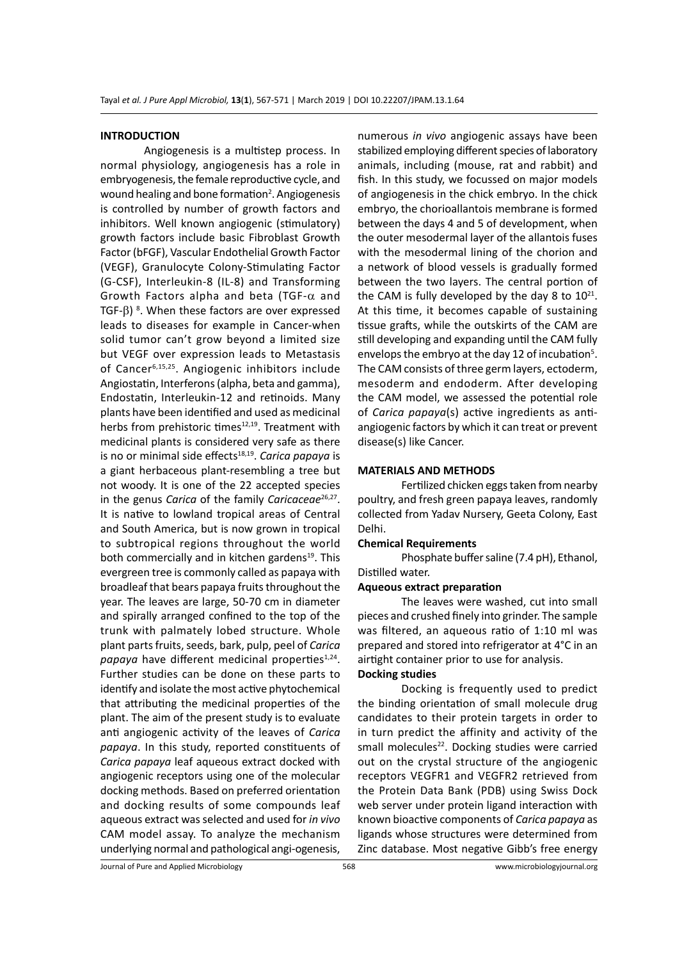#### **INTRODUCTION**

Angiogenesis is a multistep process. In normal physiology, angiogenesis has a role in embryogenesis, the female reproductive cycle, and wound healing and bone formation<sup>2</sup>. Angiogenesis is controlled by number of growth factors and inhibitors. Well known angiogenic (stimulatory) growth factors include basic Fibroblast Growth Factor (bFGF), Vascular Endothelial Growth Factor (VEGF), Granulocyte Colony-Stimulating Factor (G-CSF), Interleukin-8 (IL-8) and Transforming Growth Factors alpha and beta (TGF- $\alpha$  and TGF- $β$ )<sup>8</sup>. When these factors are over expressed leads to diseases for example in Cancer-when solid tumor can't grow beyond a limited size but VEGF over expression leads to Metastasis of Cancer6,15,25. Angiogenic inhibitors include Angiostatin, Interferons (alpha, beta and gamma), Endostatin, Interleukin-12 and retinoids. Many plants have been identified and used as medicinal herbs from prehistoric times<sup>12,19</sup>. Treatment with medicinal plants is considered very safe as there is no or minimal side effects<sup>18,19</sup>. *Carica papaya* is a giant herbaceous plant-resembling a tree but not woody. It is one of the 22 accepted species in the genus *Carica* of the family *Caricaceae*<sup>26,27</sup>. It is native to lowland tropical areas of Central and South America, but is now grown in tropical to subtropical regions throughout the world both commercially and in kitchen gardens<sup>19</sup>. This evergreen tree is commonly called as papaya with broadleaf that bears papaya fruits throughout the year. The leaves are large, 50-70 cm in diameter and spirally arranged confined to the top of the trunk with palmately lobed structure. Whole plant parts fruits, seeds, bark, pulp, peel of *Carica*  papaya have different medicinal properties<sup>1,24</sup>. Further studies can be done on these parts to identify and isolate the most active phytochemical that attributing the medicinal properties of the plant. The aim of the present study is to evaluate anti angiogenic activity of the leaves of *Carica papaya*. In this study, reported constituents of *Carica papaya* leaf aqueous extract docked with angiogenic receptors using one of the molecular docking methods. Based on preferred orientation and docking results of some compounds leaf aqueous extract was selected and used for *in vivo* CAM model assay. To analyze the mechanism underlying normal and pathological angi-ogenesis,

numerous *in vivo* angiogenic assays have been stabilized employing different species of laboratory animals, including (mouse, rat and rabbit) and fish. In this study, we focussed on major models of angiogenesis in the chick embryo. In the chick embryo, the chorioallantois membrane is formed between the days 4 and 5 of development, when the outer mesodermal layer of the allantois fuses with the mesodermal lining of the chorion and a network of blood vessels is gradually formed between the two layers. The central portion of the CAM is fully developed by the day 8 to  $10^{21}$ . At this time, it becomes capable of sustaining tissue grafts, while the outskirts of the CAM are still developing and expanding until the CAM fully envelops the embryo at the day 12 of incubation<sup>5</sup>. The CAM consists of three germ layers, ectoderm, mesoderm and endoderm. After developing the CAM model, we assessed the potential role of *Carica papaya*(s) active ingredients as antiangiogenic factors by which it can treat or prevent disease(s) like Cancer.

#### **MATERIALS AND METHODS**

Fertilized chicken eggs taken from nearby poultry, and fresh green papaya leaves, randomly collected from Yadav Nursery, Geeta Colony, East Delhi.

#### **Chemical Requirements**

Phosphate buffer saline (7.4 pH), Ethanol, Distilled water.

#### **Aqueous extract preparation**

The leaves were washed, cut into small pieces and crushed finely into grinder. The sample was filtered, an aqueous ratio of 1:10 ml was prepared and stored into refrigerator at 4°C in an airtight container prior to use for analysis. **Docking studies**

Docking is frequently used to predict the binding orientation of small molecule drug candidates to their protein targets in order to in turn predict the affinity and activity of the small molecules<sup>22</sup>. Docking studies were carried out on the crystal structure of the angiogenic receptors VEGFR1 and VEGFR2 retrieved from the Protein Data Bank (PDB) using Swiss Dock web server under protein ligand interaction with known bioactive components of *Carica papaya* as ligands whose structures were determined from Zinc database. Most negative Gibb's free energy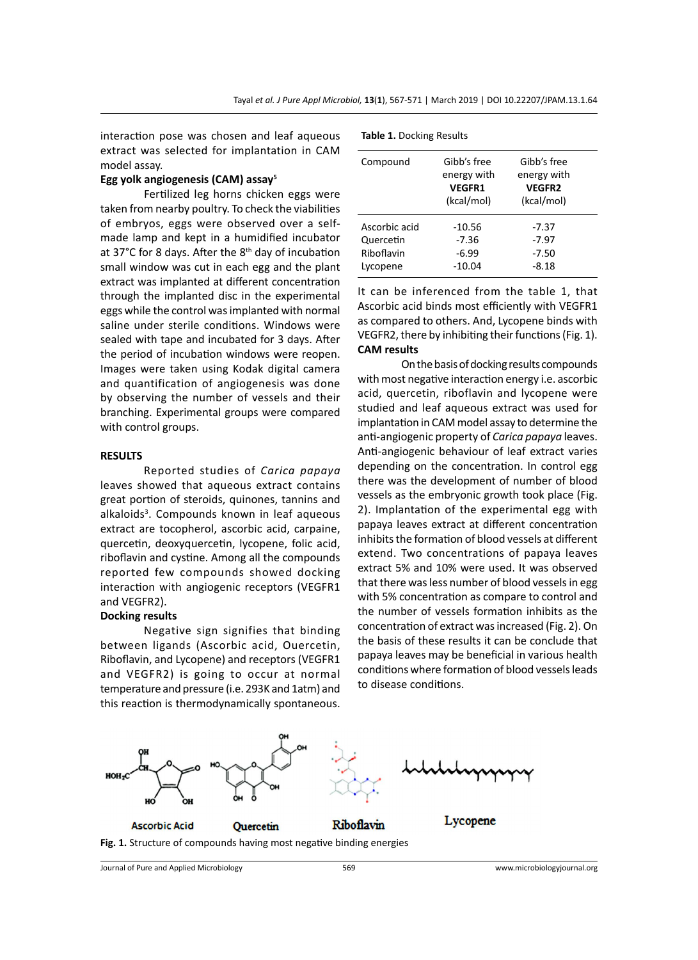interaction pose was chosen and leaf aqueous extract was selected for implantation in CAM model assay.

### **Egg yolk angiogenesis (CAM) assay<sup>5</sup>**

Fertilized leg horns chicken eggs were taken from nearby poultry. To check the viabilities of embryos, eggs were observed over a selfmade lamp and kept in a humidified incubator at 37 $^{\circ}$ C for 8 days. After the 8<sup>th</sup> day of incubation small window was cut in each egg and the plant extract was implanted at different concentration through the implanted disc in the experimental eggs while the control was implanted with normal saline under sterile conditions. Windows were sealed with tape and incubated for 3 days. After the period of incubation windows were reopen. Images were taken using Kodak digital camera and quantification of angiogenesis was done by observing the number of vessels and their branching. Experimental groups were compared with control groups.

#### **RESULTS**

Reported studies of *Carica papaya* leaves showed that aqueous extract contains great portion of steroids, quinones, tannins and alkaloids<sup>3</sup>. Compounds known in leaf aqueous extract are tocopherol, ascorbic acid, carpaine, quercetin, deoxyquercetin, lycopene, folic acid, riboflavin and cystine. Among all the compounds reported few compounds showed docking interaction with angiogenic receptors (VEGFR1 and VEGFR2).

#### **Docking results**

Negative sign signifies that binding between ligands (Ascorbic acid, Ouercetin, Riboflavin, and Lycopene) and receptors (VEGFR1 and VEGFR2) is going to occur at normal temperature and pressure (i.e. 293K and 1atm) and this reaction is thermodynamically spontaneous.

| Compound                                             | Gibb's free<br>energy with<br><b>VEGFR1</b><br>(kcal/mol) | Gibb's free<br>energy with<br><b>VEGFR2</b><br>(kcal/mol) |  |
|------------------------------------------------------|-----------------------------------------------------------|-----------------------------------------------------------|--|
| Ascorbic acid<br>Quercetin<br>Riboflavin<br>Lycopene | $-10.56$<br>$-7.36$<br>$-6.99$<br>$-10.04$                | -7.37<br>$-7.97$<br>$-7.50$<br>$-8.18$                    |  |

It can be inferenced from the table 1, that Ascorbic acid binds most efficiently with VEGFR1 as compared to others. And, Lycopene binds with VEGFR2, there by inhibiting their functions (Fig. 1). **CAM results**

On the basis of docking results compounds with most negative interaction energy i.e. ascorbic acid, quercetin, riboflavin and lycopene were studied and leaf aqueous extract was used for implantation in CAM model assay to determine the anti-angiogenic property of *Carica papaya* leaves. Anti-angiogenic behaviour of leaf extract varies depending on the concentration. In control egg there was the development of number of blood vessels as the embryonic growth took place (Fig. 2). Implantation of the experimental egg with papaya leaves extract at different concentration inhibits the formation of blood vessels at different extend. Two concentrations of papaya leaves extract 5% and 10% were used. It was observed that there was less number of blood vessels in egg with 5% concentration as compare to control and the number of vessels formation inhibits as the concentration of extract was increased (Fig. 2). On the basis of these results it can be conclude that papaya leaves may be beneficial in various health conditions where formation of blood vessels leads to disease conditions.



Journal of Pure and Applied Microbiology 569 www.microbiologyjournal.org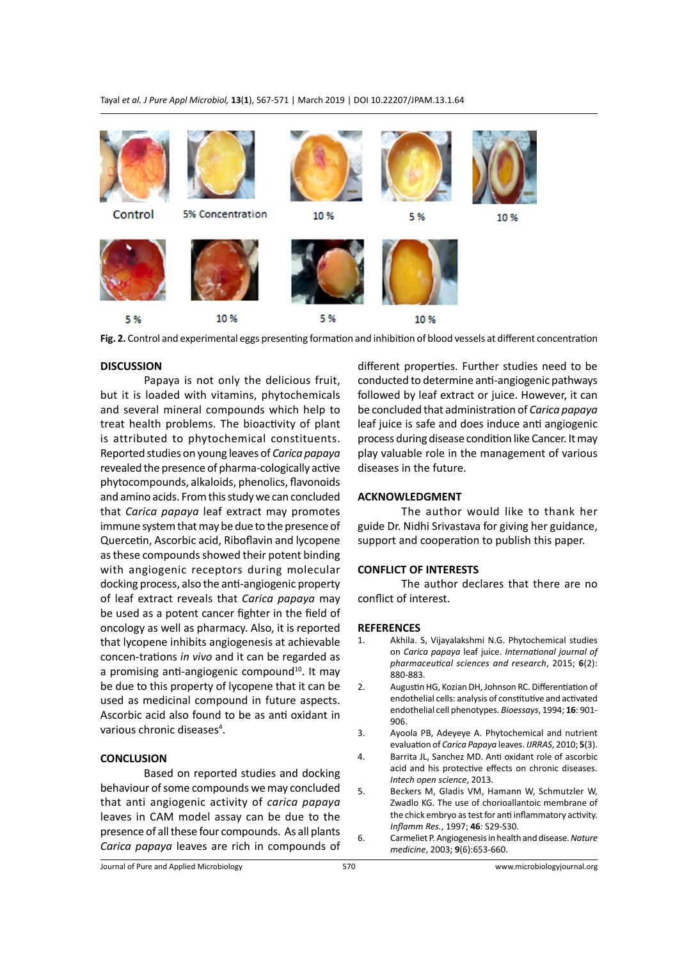Tayal *et al. J Pure Appl Microbiol,* **13**(**1**), 567-571 | March 2019 | DOI 10.22207/JPAM.13.1.64



**Fig. 2.** Control and experimental eggs presenting formation and inhibition of blood vessels at different concentration

## **DISCUSSION**

Papaya is not only the delicious fruit, but it is loaded with vitamins, phytochemicals and several mineral compounds which help to treat health problems. The bioactivity of plant is attributed to phytochemical constituents. Reported studies on young leaves of *Carica papaya* revealed the presence of pharma-cologically active phytocompounds, alkaloids, phenolics, flavonoids and amino acids. From this study we can concluded that *Carica papaya* leaf extract may promotes immune system that may be due to the presence of Quercetin, Ascorbic acid, Riboflavin and lycopene as these compounds showed their potent binding with angiogenic receptors during molecular docking process, also the anti-angiogenic property of leaf extract reveals that *Carica papaya* may be used as a potent cancer fighter in the field of oncology as well as pharmacy. Also, it is reported that lycopene inhibits angiogenesis at achievable concen-trations *in vivo* and it can be regarded as a promising anti-angiogenic compound $10$ . It may be due to this property of lycopene that it can be used as medicinal compound in future aspects. Ascorbic acid also found to be as anti oxidant in various chronic diseases<sup>4</sup>.

## **CONCLUSION**

Based on reported studies and docking behaviour of some compounds we may concluded that anti angiogenic activity of *carica papaya* leaves in CAM model assay can be due to the presence of all these four compounds. As all plants *Carica papaya* leaves are rich in compounds of different properties. Further studies need to be conducted to determine anti-angiogenic pathways followed by leaf extract or juice. However, it can be concluded that administration of *Carica papaya*  leaf juice is safe and does induce anti angiogenic process during disease condition like Cancer. It may play valuable role in the management of various diseases in the future.

#### **ACKNOWLEDGMENT**

The author would like to thank her guide Dr. Nidhi Srivastava for giving her guidance, support and cooperation to publish this paper.

#### **CONFLICT OF INTERESTS**

The author declares that there are no conflict of interest.

#### **REFERENCES**

- 1. Akhila. S, Vijayalakshmi N.G. Phytochemical studies on *Carica papaya* leaf juice. *International journal of pharmaceutical sciences and research*, 2015; **6**(2): 880-883.
- 2. Augustin HG, Kozian DH, Johnson RC. Differentiation of endothelial cells: analysis of constitutive and activated endothelial cell phenotypes. *Bioessays*, 1994; **16**: 901- 906.
- 3. Ayoola PB, Adeyeye A. Phytochemical and nutrient evaluation of *Carica Papaya* leaves. *IJRRAS*, 2010; **5**(3).
- 4. Barrita JL, Sanchez MD. Anti oxidant role of ascorbic acid and his protective effects on chronic diseases. *Intech open science*, 2013.
- 5. Beckers M, Gladis VM, Hamann W, Schmutzler W, Zwadlo KG. The use of chorioallantoic membrane of the chick embryo as test for anti inflammatory activity. *Inflamm Res.*, 1997; **46**: S29-S30.
- 6. Carmeliet P. Angiogenesis in health and disease. *Nature medicine*, 2003; **9**(6):653-660.